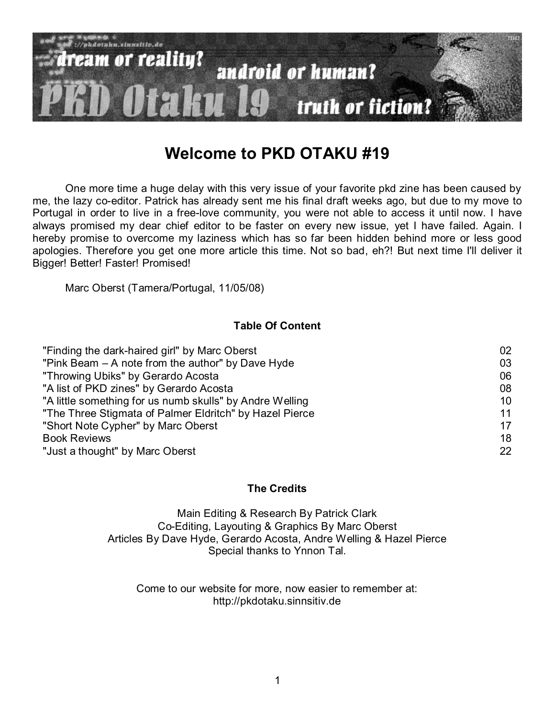

# **Welcome to PKD OTAKU #19**

One more time a huge delay with this very issue of your favorite pkd zine has been caused by me, the lazy co-editor. Patrick has already sent me his final draft weeks ago, but due to my move to Portugal in order to live in a free-love community, you were not able to access it until now. I have always promised my dear chief editor to be faster on every new issue, yet I have failed. Again. I hereby promise to overcome my laziness which has so far been hidden behind more or less good apologies. Therefore you get one more article this time. Not so bad, eh?! But next time I'll deliver it Bigger! Better! Faster! Promised!

Marc Oberst (Tamera/Portugal, 11/05/08)

## **Table Of Content**

| "Finding the dark-haired girl" by Marc Oberst            | 02 |
|----------------------------------------------------------|----|
| "Pink Beam – A note from the author" by Dave Hyde        | 03 |
| "Throwing Ubiks" by Gerardo Acosta                       | 06 |
| "A list of PKD zines" by Gerardo Acosta                  | 08 |
| "A little something for us numb skulls" by Andre Welling | 10 |
| "The Three Stigmata of Palmer Eldritch" by Hazel Pierce  | 11 |
| "Short Note Cypher" by Marc Oberst                       | 17 |
| <b>Book Reviews</b>                                      | 18 |
| "Just a thought" by Marc Oberst                          | 22 |

#### **The Credits**

Main Editing & Research By Patrick Clark Co-Editing, Layouting & Graphics By Marc Oberst Articles By Dave Hyde, Gerardo Acosta, Andre Welling & Hazel Pierce Special thanks to Ynnon Tal.

Come to our website for more, now easier to remember at: http://pkdotaku.sinnsitiv.de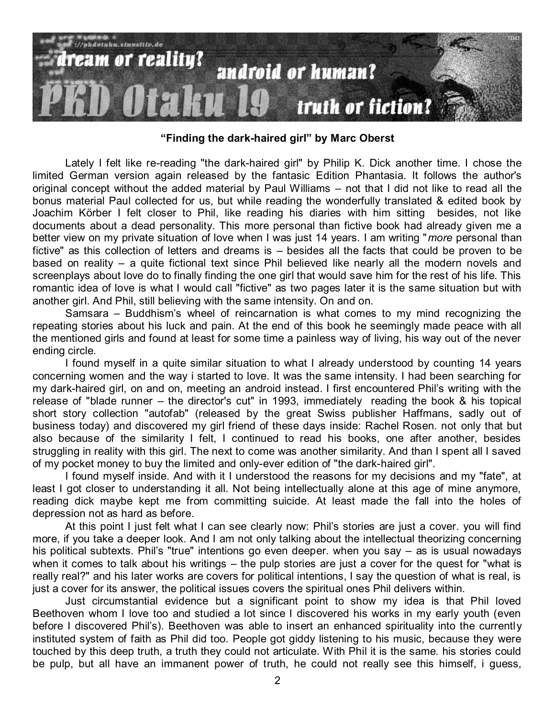

**"Finding the dark-haired girl" by Marc Oberst** 

Lately I felt like re-reading "the dark-haired girl" by Philip K. Dick another time. I chose the limited German version again released by the fantasic Edition Phantasia. It follows the author's original concept without the added material by Paul Williams – not that I did not like to read all the bonus material Paul collected for us, but while reading the wonderfully translated & edited book by Joachim Körber I felt closer to Phil, like reading his diaries with him sitting besides, not like documents about a dead personality. This more personal than fictive book had already given me a better view on my private situation of love when I was just 14 years. I am writing "*more* personal than fictive" as this collection of letters and dreams is – besides all the facts that could be proven to be based on reality – a quite fictional text since Phil believed like nearly all the modern novels and screenplays about love do to finally finding the one girl that would save him for the rest of his life. This romantic idea of love is what I would call "fictive" as two pages later it is the same situation but with another girl. And Phil, still believing with the same intensity. On and on.

Samsara – Buddhism's wheel of reincarnation is what comes to my mind recognizing the repeating stories about his luck and pain. At the end of this book he seemingly made peace with all the mentioned girls and found at least for some time a painless way of living, his way out of the never ending circle.

I found myself in a quite similar situation to what I already understood by counting 14 years concerning women and the way i started to love. It was the same intensity. I had been searching for my dark-haired girl, on and on, meeting an android instead. I first encountered Phil's writing with the release of "blade runner – the director's cut" in 1993, immediately reading the book & his topical short story collection "autofab" (released by the great Swiss publisher Haffmans, sadly out of business today) and discovered my girl friend of these days inside: Rachel Rosen. not only that but also because of the similarity I felt, I continued to read his books, one after another, besides struggling in reality with this girl. The next to come was another similarity. And than I spent all I saved of my pocket money to buy the limited and only-ever edition of "the dark-haired girl".

I found myself inside. And with it I understood the reasons for my decisions and my "fate", at least I got closer to understanding it all. Not being intellectually alone at this age of mine anymore, reading dick maybe kept me from committing suicide. At least made the fall into the holes of depression not as hard as before.

At this point I just felt what I can see clearly now: Phil's stories are just a cover, you will find more, if you take a deeper look. And I am not only talking about the intellectual theorizing concerning his political subtexts. Phil's "true" intentions go even deeper. when you say – as is usual nowadays when it comes to talk about his writings – the pulp stories are just a cover for the quest for "what is really real?" and his later works are covers for political intentions, I say the question of what is real, is just a cover for its answer, the political issues covers the spiritual ones Phil delivers within.

Just circumstantial evidence but a significant point to show my idea is that Phil loved Beethoven whom I love too and studied a lot since I discovered his works in my early youth (even before I discovered Phil's). Beethoven was able to insert an enhanced spirituality into the currently instituted system of faith as Phil did too. People got giddy listening to his music, because they were touched by this deep truth, a truth they could not articulate. With Phil it is the same. his stories could be pulp, but all have an immanent power of truth, he could not really see this himself, i guess,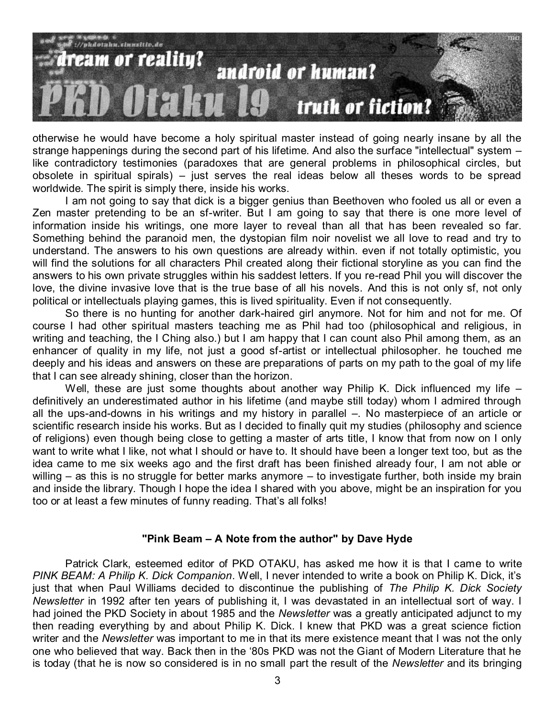

otherwise he would have become a holy spiritual master instead of going nearly insane by all the strange happenings during the second part of his lifetime. And also the surface "intellectual" system – like contradictory testimonies (paradoxes that are general problems in philosophical circles, but obsolete in spiritual spirals) – just serves the real ideas below all theses words to be spread worldwide. The spirit is simply there, inside his works.

I am not going to say that dick is a bigger genius than Beethoven who fooled us all or even a Zen master pretending to be an sf-writer. But I am going to say that there is one more level of information inside his writings, one more layer to reveal than all that has been revealed so far. Something behind the paranoid men, the dystopian film noir novelist we all love to read and try to understand. The answers to his own questions are already within. even if not totally optimistic, you will find the solutions for all characters Phil created along their fictional storyline as you can find the answers to his own private struggles within his saddest letters. If you re-read Phil you will discover the love, the divine invasive love that is the true base of all his novels. And this is not only sf, not only political or intellectuals playing games, this is lived spirituality. Even if not consequently.

So there is no hunting for another dark-haired girl anymore. Not for him and not for me. Of course I had other spiritual masters teaching me as Phil had too (philosophical and religious, in writing and teaching, the I Ching also.) but I am happy that I can count also Phil among them, as an enhancer of quality in my life, not just a good sf-artist or intellectual philosopher. he touched me deeply and his ideas and answers on these are preparations of parts on my path to the goal of my life that I can see already shining, closer than the horizon.

Well, these are just some thoughts about another way Philip K. Dick influenced my life – definitively an underestimated author in his lifetime (and maybe still today) whom I admired through all the ups-and-downs in his writings and my history in parallel –. No masterpiece of an article or scientific research inside his works. But as I decided to finally quit my studies (philosophy and science of religions) even though being close to getting a master of arts title, I know that from now on I only want to write what I like, not what I should or have to. It should have been a longer text too, but as the idea came to me six weeks ago and the first draft has been finished already four, I am not able or willing – as this is no struggle for better marks anymore – to investigate further, both inside my brain and inside the library. Though I hope the idea I shared with you above, might be an inspiration for you too or at least a few minutes of funny reading. That's all folks!

#### **"Pink Beam – A Note from the author" by Dave Hyde**

Patrick Clark, esteemed editor of PKD OTAKU, has asked me how it is that I came to write *PINK BEAM: A Philip K. Dick Companion*. Well, I never intended to write a book on Philip K. Dick, it's just that when Paul Williams decided to discontinue the publishing of *The Philip K. Dick Society Newsletter* in 1992 after ten years of publishing it, I was devastated in an intellectual sort of way. I had joined the PKD Society in about 1985 and the *Newsletter* was a greatly anticipated adjunct to my then reading everything by and about Philip K. Dick. I knew that PKD was a great science fiction writer and the *Newsletter* was important to me in that its mere existence meant that I was not the only one who believed that way. Back then in the '80s PKD was not the Giant of Modern Literature that he is today (that he is now so considered is in no small part the result of the *Newsletter* and its bringing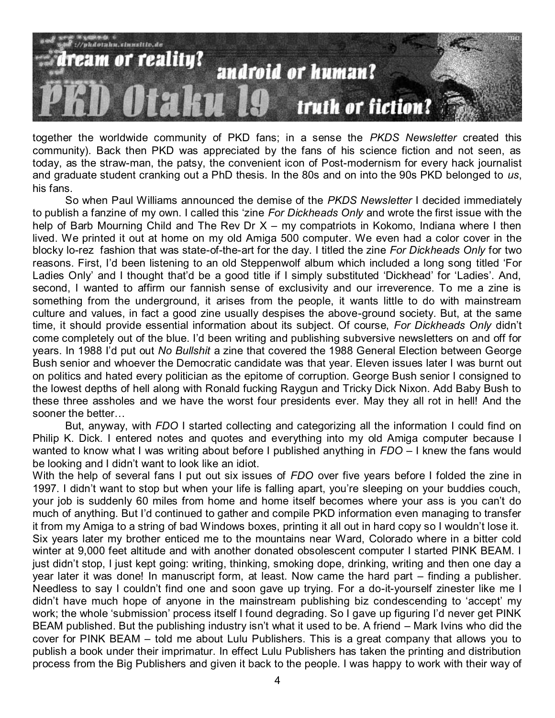

together the worldwide community of PKD fans; in a sense the *PKDS Newsletter* created this community). Back then PKD was appreciated by the fans of his science fiction and not seen, as today, as the straw-man, the patsy, the convenient icon of Post-modernism for every hack journalist and graduate student cranking out a PhD thesis. In the 80s and on into the 90s PKD belonged to *us*, his fans.

So when Paul Williams announced the demise of the *PKDS Newsletter* I decided immediately to publish a fanzine of my own. I called this 'zine *For Dickheads Only* and wrote the first issue with the help of Barb Mourning Child and The Rev Dr X – my compatriots in Kokomo, Indiana where I then lived. We printed it out at home on my old Amiga 500 computer. We even had a color cover in the blocky lo-rez fashion that was state-of-the-art for the day. I titled the zine *For Dickheads Only* for two reasons. First, I'd been listening to an old Steppenwolf album which included a long song titled 'For Ladies Only' and I thought that'd be a good title if I simply substituted 'Dickhead' for 'Ladies'. And, second, I wanted to affirm our fannish sense of exclusivity and our irreverence. To me a zine is something from the underground, it arises from the people, it wants little to do with mainstream culture and values, in fact a good zine usually despises the above-ground society. But, at the same time, it should provide essential information about its subject. Of course, *For Dickheads Only* didn't come completely out of the blue. I'd been writing and publishing subversive newsletters on and off for years. In 1988 I'd put out *No Bullshit* a zine that covered the 1988 General Election between George Bush senior and whoever the Democratic candidate was that year. Eleven issues later I was burnt out on politics and hated every politician as the epitome of corruption. George Bush senior I consigned to the lowest depths of hell along with Ronald fucking Raygun and Tricky Dick Nixon. Add Baby Bush to these three assholes and we have the worst four presidents ever. May they all rot in hell! And the sooner the better…

But, anyway, with *FDO* I started collecting and categorizing all the information I could find on Philip K. Dick. I entered notes and quotes and everything into my old Amiga computer because I wanted to know what I was writing about before I published anything in *FDO* – I knew the fans would be looking and I didn't want to look like an idiot.

With the help of several fans I put out six issues of *FDO* over five years before I folded the zine in 1997. I didn't want to stop but when your life is falling apart, you're sleeping on your buddies couch, your job is suddenly 60 miles from home and home itself becomes where your ass is you can't do much of anything. But I'd continued to gather and compile PKD information even managing to transfer it from my Amiga to a string of bad Windows boxes, printing it all out in hard copy so I wouldn't lose it. Six years later my brother enticed me to the mountains near Ward, Colorado where in a bitter cold winter at 9,000 feet altitude and with another donated obsolescent computer I started PINK BEAM. I just didn't stop, I just kept going: writing, thinking, smoking dope, drinking, writing and then one day a year later it was done! In manuscript form, at least. Now came the hard part – finding a publisher. Needless to say I couldn't find one and soon gave up trying. For a do-it-yourself zinester like me I didn't have much hope of anyone in the mainstream publishing biz condescending to 'accept' my work; the whole 'submission' process itself I found degrading. So I gave up figuring I'd never get PINK BEAM published. But the publishing industry isn't what it used to be. A friend – Mark Ivins who did the cover for PINK BEAM – told me about Lulu Publishers. This is a great company that allows you to publish a book under their imprimatur. In effect Lulu Publishers has taken the printing and distribution process from the Big Publishers and given it back to the people. I was happy to work with their way of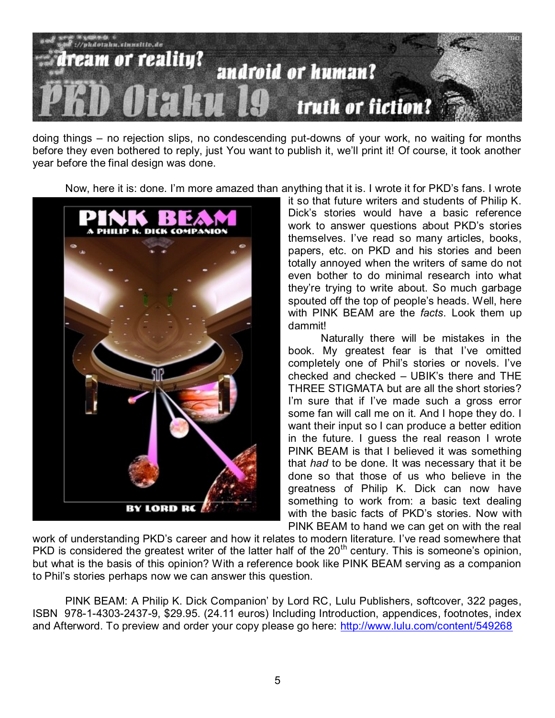

doing things – no rejection slips, no condescending put-downs of your work, no waiting for months before they even bothered to reply, just You want to publish it, we'll print it! Of course, it took another year before the final design was done.

Now, here it is: done. I'm more amazed than anything that it is. I wrote it for PKD's fans. I wrote



it so that future writers and students of Philip K. Dick's stories would have a basic reference work to answer questions about PKD's stories themselves. I've read so many articles, books, papers, etc. on PKD and his stories and been totally annoyed when the writers of same do not even bother to do minimal research into what they're trying to write about. So much garbage spouted off the top of people's heads. Well, here with PINK BEAM are the *facts*. Look them up dammit!

Naturally there will be mistakes in the book. My greatest fear is that I've omitted completely one of Phil's stories or novels. I've checked and checked – UBIK's there and THE THREE STIGMATA but are all the short stories? I'm sure that if I've made such a gross error some fan will call me on it. And I hope they do. I want their input so I can produce a better edition in the future. I guess the real reason I wrote PINK BEAM is that I believed it was something that *had* to be done. It was necessary that it be done so that those of us who believe in the greatness of Philip K. Dick can now have something to work from: a basic text dealing with the basic facts of PKD's stories. Now with PINK BEAM to hand we can get on with the real

work of understanding PKD's career and how it relates to modern literature. I've read somewhere that PKD is considered the greatest writer of the latter half of the 20<sup>th</sup> century. This is someone's opinion, but what is the basis of this opinion? With a reference book like PINK BEAM serving as a companion to Phil's stories perhaps now we can answer this question.

PINK BEAM: A Philip K. Dick Companion' by Lord RC, Lulu Publishers, softcover, 322 pages, ISBN 978-1-4303-2437-9, \$29.95. (24.11 euros) Including Introduction, appendices, footnotes, index and Afterword. To preview and order your copy please go here:<http://www.lulu.com/content/549268>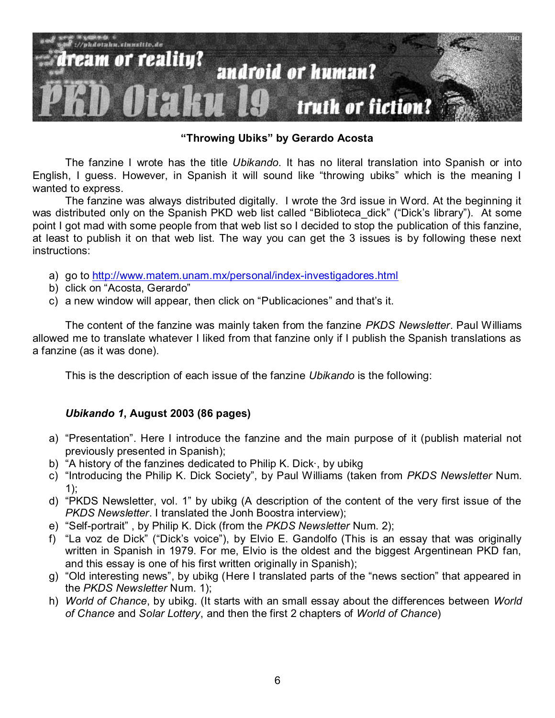

**"Throwing Ubiks" by Gerardo Acosta**

The fanzine I wrote has the title *Ubikando*. It has no literal translation into Spanish or into English, I guess. However, in Spanish it will sound like "throwing ubiks" which is the meaning I wanted to express.

The fanzine was always distributed digitally. I wrote the 3rd issue in Word. At the beginning it was distributed only on the Spanish PKD web list called "Biblioteca dick" ("Dick's library"). At some point I got mad with some people from that web list so I decided to stop the publication of this fanzine, at least to publish it on that web list. The way you can get the 3 issues is by following these next instructions:

- a) go to<http://www.matem.unam.mx/personal/index-investigadores.html>
- b) click on "Acosta, Gerardo"
- c) a new window will appear, then click on "Publicaciones" and that's it.

The content of the fanzine was mainly taken from the fanzine *PKDS Newsletter*. Paul Williams allowed me to translate whatever I liked from that fanzine only if I publish the Spanish translations as a fanzine (as it was done).

This is the description of each issue of the fanzine *Ubikando* is the following:

# *Ubikando 1***, August 2003 (86 pages)**

- a) "Presentation". Here I introduce the fanzine and the main purpose of it (publish material not previously presented in Spanish);
- b) "A history of the fanzines dedicated to Philip K. Dick by ubikg
- c) "Introducing the Philip K. Dick Society", by Paul Williams (taken from *PKDS Newsletter* Num. 1);
- d) "PKDS Newsletter, vol. 1" by ubikg (A description of the content of the very first issue of the *PKDS Newsletter*. I translated the Jonh Boostra interview);
- e) "Self-portrait", by Philip K. Dick (from the *PKDS Newsletter Num. 2*);
- f) "La voz de Dick" ("Dick's voice"), by Elvio E. Gandolfo (This is an essay that was originally written in Spanish in 1979. For me, Elvio is the oldest and the biggest Argentinean PKD fan, and this essay is one of his first written originally in Spanish);
- g) "Old interesting news", by ubikg (Here I translated parts of the "news section" that appeared in the *PKDS Newsletter* Num. 1);
- h) *World of Chance*, by ubikg. (It starts with an small essay about the differences between *World of Chance* and *Solar Lottery*, and then the first 2 chapters of *World of Chance*)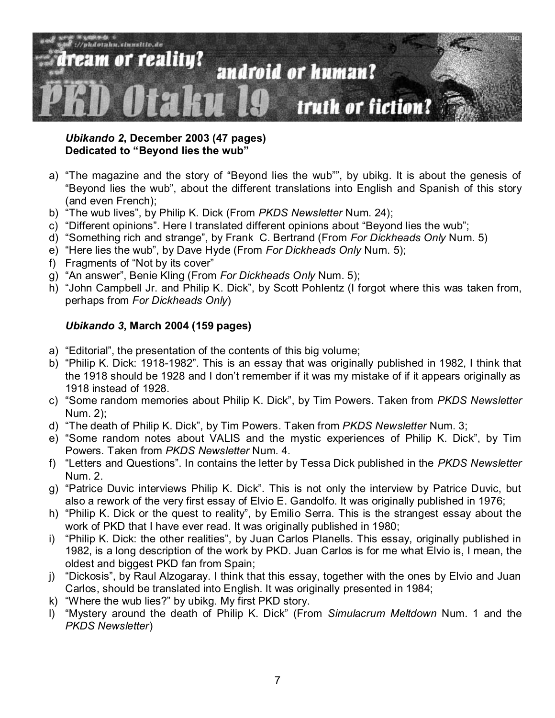

*Ubikando 2***, December 2003 (47 pages) Dedicated to "Beyond lies the wub"**

- a) "The magazine and the story of "Beyond lies the wub"", by ubikg. It is about the genesis of "Beyond lies the wub", about the different translations into English and Spanish of this story (and even French);
- b) "The wub lives", by Philip K. Dick (From PKDS Newsletter Num. 24);
- c) "Different opinions". Here I translated different opinions about "Beyond lies the wub";
- d) "Something rich and strange", by Frank C. Bertrand (From *For Dickheads Only* Num. 5)
- e) "Here lies the wub", by Dave Hyde (From *For Dickheads Only* Num. 5);
- f) Fragments of "Not by its cover"
- g) "An answer", Benie Kling (From *For Dickheads Only* Num. 5);
- h) "John Campbell Jr. and Philip K. Dick", by Scott Pohlentz (I forgot where this was taken from, perhaps from *For Dickheads Only*)

# *Ubikando 3***, March 2004 (159 pages)**

- a) "Editorial", the presentation of the contents of this big volume;
- b) "Philip K. Dick: 1918-1982". This is an essay that was originally published in 1982, I think that the 1918 should be 1928 and I don't remember if it was my mistake of if it appears originally as 1918 instead of 1928.
- c) ―Some random memories about Philip K. Dick‖, by Tim Powers. Taken from *PKDS Newsletter* Num. 2);
- d) "The death of Philip K. Dick", by Tim Powers. Taken from *PKDS Newsletter* Num. 3;
- e) "Some random notes about VALIS and the mystic experiences of Philip K. Dick", by Tim Powers. Taken from *PKDS Newsletter* Num. 4.
- f) "Letters and Questions". In contains the letter by Tessa Dick published in the *PKDS Newsletter* Num. 2.
- g) "Patrice Duvic interviews Philip K. Dick". This is not only the interview by Patrice Duvic, but also a rework of the very first essay of Elvio E. Gandolfo. It was originally published in 1976;
- h) "Philip K. Dick or the quest to reality", by Emilio Serra. This is the strangest essay about the work of PKD that I have ever read. It was originally published in 1980;
- i) "Philip K. Dick: the other realities", by Juan Carlos Planells. This essay, originally published in 1982, is a long description of the work by PKD. Juan Carlos is for me what Elvio is, I mean, the oldest and biggest PKD fan from Spain;
- j) "Dickosis", by Raul Alzogaray. I think that this essay, together with the ones by Elvio and Juan Carlos, should be translated into English. It was originally presented in 1984;
- k) "Where the wub lies?" by ubikg. My first PKD story.
- l) ―Mystery around the death of Philip K. Dick‖ (From *Simulacrum Meltdown* Num. 1 and the *PKDS Newsletter*)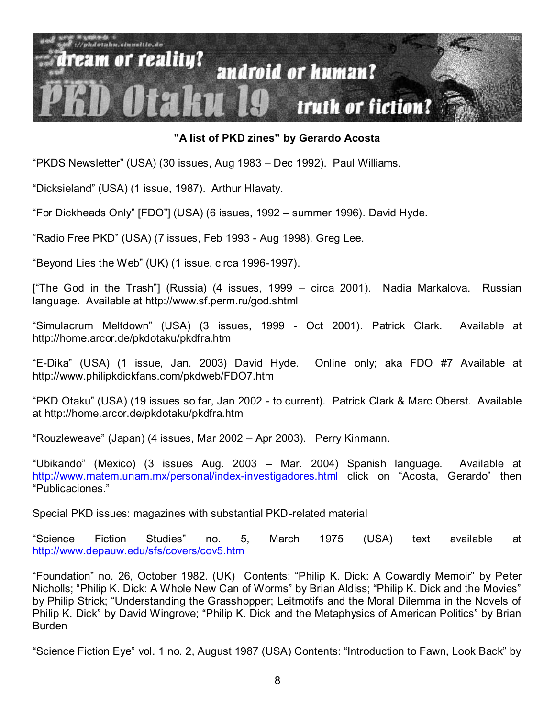

## **"A list of PKD zines" by Gerardo Acosta**

―PKDS Newsletter‖ (USA) (30 issues, Aug 1983 – Dec 1992). Paul Williams.

―Dicksieland‖ (USA) (1 issue, 1987). Arthur Hlavaty.

―For Dickheads Only‖ [FDO‖] (USA) (6 issues, 1992 – summer 1996). David Hyde.

"Radio Free PKD" (USA) (7 issues, Feb 1993 - Aug 1998). Greg Lee.

"Beyond Lies the Web" (UK) (1 issue, circa 1996-1997).

["The God in the Trash"] (Russia) (4 issues, 1999 – circa 2001). Nadia Markalova. Russian language. Available at http://www.sf.perm.ru/god.shtml

―Simulacrum Meltdown‖ (USA) (3 issues, 1999 - Oct 2001). Patrick Clark. Available at http://home.arcor.de/pkdotaku/pkdfra.htm

―E-Dika‖ (USA) (1 issue, Jan. 2003) David Hyde. Online only; aka FDO #7 Available at http://www.philipkdickfans.com/pkdweb/FDO7.htm

―PKD Otaku‖ (USA) (19 issues so far, Jan 2002 - to current). Patrick Clark & Marc Oberst. Available at http://home.arcor.de/pkdotaku/pkdfra.htm

―Rouzleweave‖ (Japan) (4 issues, Mar 2002 – Apr 2003). Perry Kinmann.

―Ubikando‖ (Mexico) (3 issues Aug. 2003 – Mar. 2004) Spanish language. Available at <http://www.matem.unam.mx/personal/index-investigadores.html> click on "Acosta, Gerardo" then ―Publicaciones.‖

Special PKD issues: magazines with substantial PKD-related material

―Science Fiction Studies‖ no. 5, March 1975 (USA) text available at <http://www.depauw.edu/sfs/covers/cov5.htm>

"Foundation" no. 26, October 1982. (UK) Contents: "Philip K. Dick: A Cowardly Memoir" by Peter Nicholls; "Philip K. Dick: A Whole New Can of Worms" by Brian Aldiss; "Philip K. Dick and the Movies" by Philip Strick; "Understanding the Grasshopper; Leitmotifs and the Moral Dilemma in the Novels of Philip K. Dick" by David Wingrove; "Philip K. Dick and the Metaphysics of American Politics" by Brian Burden

"Science Fiction Eye" vol. 1 no. 2, August 1987 (USA) Contents: "Introduction to Fawn, Look Back" by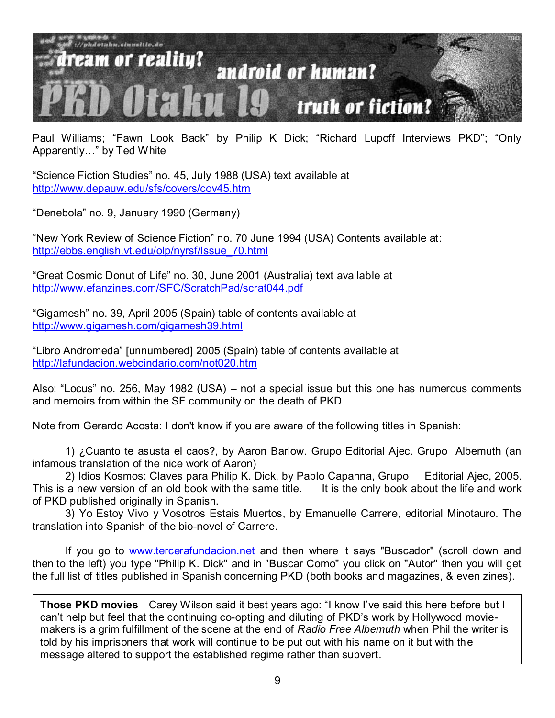

Paul Williams; "Fawn Look Back" by Philip K Dick; "Richard Lupoff Interviews PKD"; "Only Apparently..." by Ted White

―Science Fiction Studies‖ no. 45, July 1988 (USA) text available at <http://www.depauw.edu/sfs/covers/cov45.htm>

―Denebola‖ no. 9, January 1990 (Germany)

"New York Review of Science Fiction" no. 70 June 1994 (USA) Contents available at: [http://ebbs.english.vt.edu/olp/nyrsf/Issue\\_70.html](http://ebbs.english.vt.edu/olp/nyrsf/Issue_70.html)

―Great Cosmic Donut of Life‖ no. 30, June 2001 (Australia) text available at <http://www.efanzines.com/SFC/ScratchPad/scrat044.pdf>

―Gigamesh‖ no. 39, April 2005 (Spain) table of contents available at <http://www.gigamesh.com/gigamesh39.html>

―Libro Andromeda‖ [unnumbered] 2005 (Spain) table of contents available at <http://lafundacion.webcindario.com/not020.htm>

Also: "Locus" no. 256, May 1982 (USA) – not a special issue but this one has numerous comments and memoirs from within the SF community on the death of PKD

Note from Gerardo Acosta: I don't know if you are aware of the following titles in Spanish:

1) ¿Cuanto te asusta el caos?, by Aaron Barlow. Grupo Editorial Ajec. Grupo Albemuth (an infamous translation of the nice work of Aaron)

2) Idios Kosmos: Claves para Philip K. Dick, by Pablo Capanna, Grupo Editorial Ajec, 2005. This is a new version of an old book with the same title. It is the only book about the life and work of PKD published originally in Spanish.

3) Yo Estoy Vivo y Vosotros Estais Muertos, by Emanuelle Carrere, editorial Minotauro. The translation into Spanish of the bio-novel of Carrere.

If you go to [www.tercerafundacion.net](http://www.tercerafundacion.net/) and then where it says "Buscador" (scroll down and then to the left) you type "Philip K. Dick" and in "Buscar Como" you click on "Autor" then you will get the full list of titles published in Spanish concerning PKD (both books and magazines, & even zines).

can't help but feel that the continuing co-opting and diluting of PKD's work by Hollywood movie-**Those PKD movies** – Carey Wilson said it best years ago: "I know I've said this here before but I makers is a grim fulfillment of the scene at the end of *Radio Free Albemuth* when Phil the writer is told by his imprisoners that work will continue to be put out with his name on it but with the message altered to support the established regime rather than subvert.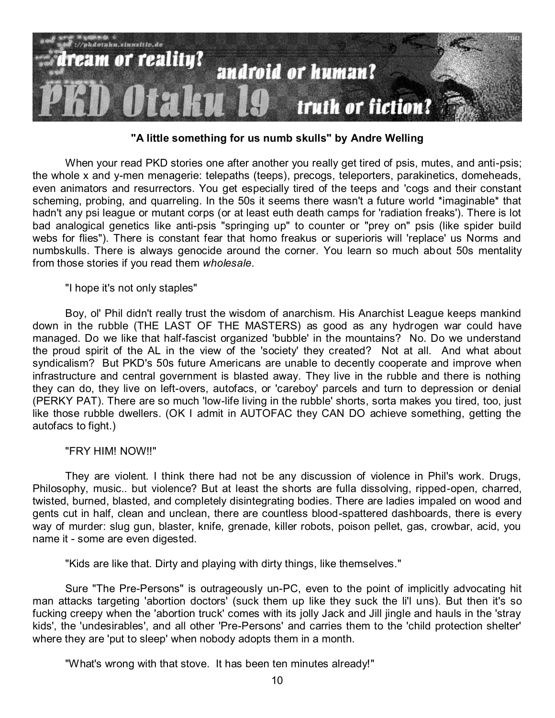

### **"A little something for us numb skulls" by Andre Welling**

When your read PKD stories one after another you really get tired of psis, mutes, and anti-psis; the whole x and y-men menagerie: telepaths (teeps), precogs, teleporters, parakinetics, domeheads, even animators and resurrectors. You get especially tired of the teeps and 'cogs and their constant scheming, probing, and quarreling. In the 50s it seems there wasn't a future world \*imaginable\* that hadn't any psi league or mutant corps (or at least euth death camps for 'radiation freaks'). There is lot bad analogical genetics like anti-psis "springing up" to counter or "prey on" psis (like spider build webs for flies"). There is constant fear that homo freakus or superioris will 'replace' us Norms and numbskulls. There is always genocide around the corner. You learn so much about 50s mentality from those stories if you read them *wholesale*.

#### "I hope it's not only staples"

Boy, ol' Phil didn't really trust the wisdom of anarchism. His Anarchist League keeps mankind down in the rubble (THE LAST OF THE MASTERS) as good as any hydrogen war could have managed. Do we like that half-fascist organized 'bubble' in the mountains? No. Do we understand the proud spirit of the AL in the view of the 'society' they created? Not at all. And what about syndicalism? But PKD's 50s future Americans are unable to decently cooperate and improve when infrastructure and central government is blasted away. They live in the rubble and there is nothing they can do, they live on left-overs, autofacs, or 'careboy' parcels and turn to depression or denial (PERKY PAT). There are so much 'low-life living in the rubble' shorts, sorta makes you tired, too, just like those rubble dwellers. (OK I admit in AUTOFAC they CAN DO achieve something, getting the autofacs to fight.)

#### "FRY HIM! NOW!!"

They are violent. I think there had not be any discussion of violence in Phil's work. Drugs, Philosophy, music.. but violence? But at least the shorts are fulla dissolving, ripped-open, charred, twisted, burned, blasted, and completely disintegrating bodies. There are ladies impaled on wood and gents cut in half, clean and unclean, there are countless blood-spattered dashboards, there is every way of murder: slug gun, blaster, knife, grenade, killer robots, poison pellet, gas, crowbar, acid, you name it - some are even digested.

"Kids are like that. Dirty and playing with dirty things, like themselves."

Sure "The Pre-Persons" is outrageously un-PC, even to the point of implicitly advocating hit man attacks targeting 'abortion doctors' (suck them up like they suck the li'l uns). But then it's so fucking creepy when the 'abortion truck' comes with its jolly Jack and Jill jingle and hauls in the 'stray kids', the 'undesirables', and all other 'Pre-Persons' and carries them to the 'child protection shelter' where they are 'put to sleep' when nobody adopts them in a month.

"What's wrong with that stove. It has been ten minutes already!"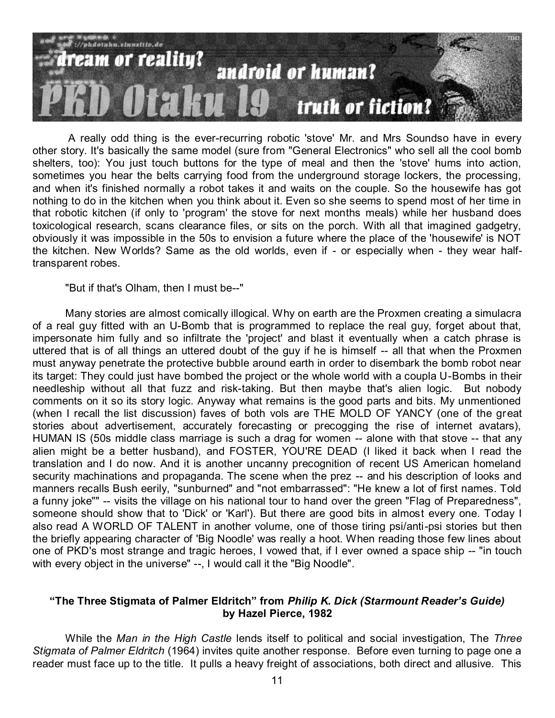

A really odd thing is the ever-recurring robotic 'stove' Mr. and Mrs Soundso have in every other story. It's basically the same model (sure from "General Electronics" who sell all the cool bomb shelters, too): You just touch buttons for the type of meal and then the 'stove' hums into action, sometimes you hear the belts carrying food from the underground storage lockers, the processing, and when it's finished normally a robot takes it and waits on the couple. So the housewife has got nothing to do in the kitchen when you think about it. Even so she seems to spend most of her time in that robotic kitchen (if only to 'program' the stove for next months meals) while her husband does toxicological research, scans clearance files, or sits on the porch. With all that imagined gadgetry, obviously it was impossible in the 50s to envision a future where the place of the 'housewife' is NOT the kitchen. New Worlds? Same as the old worlds, even if - or especially when - they wear halftransparent robes.

"But if that's Olham, then I must be--"

Many stories are almost comically illogical. Why on earth are the Proxmen creating a simulacra of a real guy fitted with an U-Bomb that is programmed to replace the real guy, forget about that, impersonate him fully and so infiltrate the 'project' and blast it eventually when a catch phrase is uttered that is of all things an uttered doubt of the guy if he is himself -- all that when the Proxmen must anyway penetrate the protective bubble around earth in order to disembark the bomb robot near its target: They could just have bombed the project or the whole world with a coupla U-Bombs in their needleship without all that fuzz and risk-taking. But then maybe that's alien logic. But nobody comments on it so its story logic. Anyway what remains is the good parts and bits. My unmentioned (when I recall the list discussion) faves of both vols are THE MOLD OF YANCY (one of the great stories about advertisement, accurately forecasting or precogging the rise of internet avatars), HUMAN IS (50s middle class marriage is such a drag for women -- alone with that stove -- that any alien might be a better husband), and FOSTER, YOU'RE DEAD (I liked it back when I read the translation and I do now. And it is another uncanny precognition of recent US American homeland security machinations and propaganda. The scene when the prez -- and his description of looks and manners recalls Bush eerily, "sunburned" and "not embarrassed": "He knew a lot of first names. Told a funny joke"" -- visits the village on his national tour to hand over the green "Flag of Preparedness", someone should show that to 'Dick' or 'Karl'). But there are good bits in almost every one. Today I also read A WORLD OF TALENT in another volume, one of those tiring psi/anti-psi stories but then the briefly appearing character of 'Big Noodle' was really a hoot. When reading those few lines about one of PKD's most strange and tragic heroes, I vowed that, if I ever owned a space ship -- "in touch with every object in the universe" --, I would call it the "Big Noodle".

## **"The Three Stigmata of Palmer Eldritch" from** *Philip K. Dick (Starmount Reader's Guide)* **by Hazel Pierce, 1982**

While the *Man in the High Castle* lends itself to political and social investigation, The *Three Stigmata of Palmer Eldritch* (1964) invites quite another response. Before even turning to page one a reader must face up to the title. It pulls a heavy freight of associations, both direct and allusive. This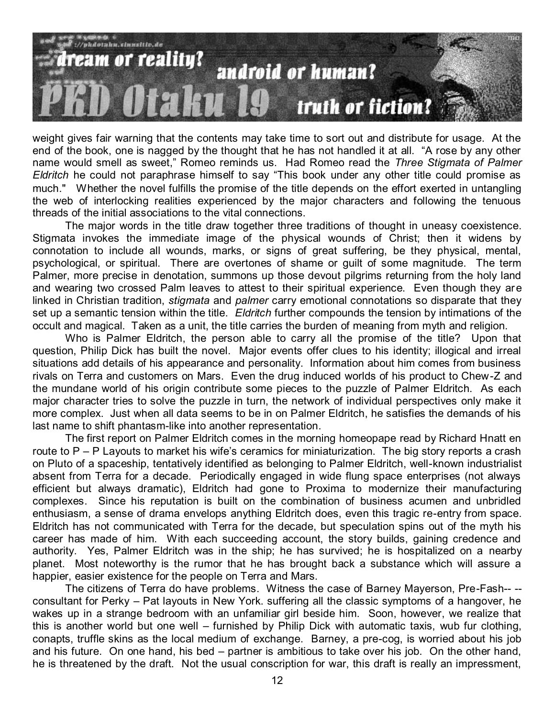

weight gives fair warning that the contents may take time to sort out and distribute for usage. At the end of the book, one is nagged by the thought that he has not handled it at all. "A rose by any other name would smell as sweet," Romeo reminds us. Had Romeo read the *Three Stigmata of Palmer Eldritch* he could not paraphrase himself to say "This book under any other title could promise as much." Whether the novel fulfills the promise of the title depends on the effort exerted in untangling the web of interlocking realities experienced by the major characters and following the tenuous threads of the initial associations to the vital connections.

The major words in the title draw together three traditions of thought in uneasy coexistence. Stigmata invokes the immediate image of the physical wounds of Christ; then it widens by connotation to include all wounds, marks, or signs of great suffering, be they physical, mental, psychological, or spiritual. There are overtones of shame or guilt of some magnitude. The term Palmer, more precise in denotation, summons up those devout pilgrims returning from the holy land and wearing two crossed Palm leaves to attest to their spiritual experience. Even though they are linked in Christian tradition, *stigmata* and *palmer* carry emotional connotations so disparate that they set up a semantic tension within the title. *Eldritch* further compounds the tension by intimations of the occult and magical. Taken as a unit, the title carries the burden of meaning from myth and religion.

Who is Palmer Eldritch, the person able to carry all the promise of the title? Upon that question, Philip Dick has built the novel. Major events offer clues to his identity; illogical and irreal situations add details of his appearance and personality. Information about him comes from business rivals on Terra and customers on Mars. Even the drug induced worlds of his product to Chew-Z and the mundane world of his origin contribute some pieces to the puzzle of Palmer Eldritch. As each major character tries to solve the puzzle in turn, the network of individual perspectives only make it more complex. Just when all data seems to be in on Palmer Eldritch, he satisfies the demands of his last name to shift phantasm-like into another representation.

The first report on Palmer Eldritch comes in the morning homeopape read by Richard Hnatt en route to P – P Layouts to market his wife's ceramics for miniaturization. The big story reports a crash on Pluto of a spaceship, tentatively identified as belonging to Palmer Eldritch, well-known industrialist absent from Terra for a decade. Periodically engaged in wide flung space enterprises (not always efficient but always dramatic), Eldritch had gone to Proxima to modernize their manufacturing complexes. Since his reputation is built on the combination of business acumen and unbridled enthusiasm, a sense of drama envelops anything Eldritch does, even this tragic re-entry from space. Eldritch has not communicated with Terra for the decade, but speculation spins out of the myth his career has made of him. With each succeeding account, the story builds, gaining credence and authority. Yes, Palmer Eldritch was in the ship; he has survived; he is hospitalized on a nearby planet. Most noteworthy is the rumor that he has brought back a substance which will assure a happier, easier existence for the people on Terra and Mars.

The citizens of Terra do have problems. Witness the case of Barney Mayerson, Pre-Fash-- - consultant for Perky – Pat layouts in New York. suffering all the classic symptoms of a hangover, he wakes up in a strange bedroom with an unfamiliar girl beside him. Soon, however, we realize that this is another world but one well – furnished by Philip Dick with automatic taxis, wub fur clothing, conapts, truffle skins as the local medium of exchange. Barney, a pre-cog, is worried about his job and his future. On one hand, his bed – partner is ambitious to take over his job. On the other hand, he is threatened by the draft. Not the usual conscription for war, this draft is really an impressment,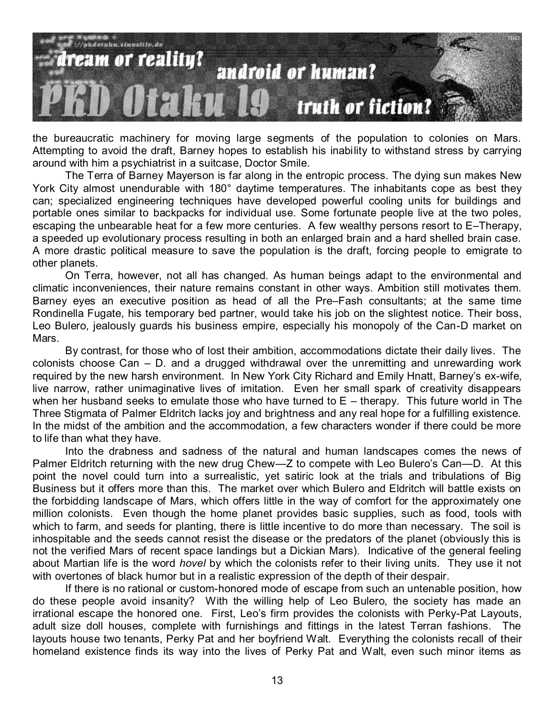

the bureaucratic machinery for moving large segments of the population to colonies on Mars. Attempting to avoid the draft, Barney hopes to establish his inability to withstand stress by carrying around with him a psychiatrist in a suitcase, Doctor Smile.

The Terra of Barney Mayerson is far along in the entropic process. The dying sun makes New York City almost unendurable with 180° daytime temperatures. The inhabitants cope as best they can; specialized engineering techniques have developed powerful cooling units for buildings and portable ones similar to backpacks for individual use. Some fortunate people live at the two poles, escaping the unbearable heat for a few more centuries. A few wealthy persons resort to E–Therapy, a speeded up evolutionary process resulting in both an enlarged brain and a hard shelled brain case. A more drastic political measure to save the population is the draft, forcing people to emigrate to other planets.

On Terra, however, not all has changed. As human beings adapt to the environmental and climatic inconveniences, their nature remains constant in other ways. Ambition still motivates them. Barney eyes an executive position as head of all the Pre–Fash consultants; at the same time Rondinella Fugate, his temporary bed partner, would take his job on the slightest notice. Their boss, Leo Bulero, jealously guards his business empire, especially his monopoly of the Can-D market on Mars.

By contrast, for those who of lost their ambition, accommodations dictate their daily lives. The colonists choose Can – D. and a drugged withdrawal over the unremitting and unrewarding work required by the new harsh environment. In New York City Richard and Emily Hnatt, Barney's ex-wife, live narrow, rather unimaginative lives of imitation. Even her small spark of creativity disappears when her husband seeks to emulate those who have turned to  $E$  – therapy. This future world in The Three Stigmata of Palmer Eldritch lacks joy and brightness and any real hope for a fulfilling existence. In the midst of the ambition and the accommodation, a few characters wonder if there could be more to life than what they have.

Into the drabness and sadness of the natural and human landscapes comes the news of Palmer Eldritch returning with the new drug Chew—Z to compete with Leo Bulero's Can—D. At this point the novel could turn into a surrealistic, yet satiric look at the trials and tribulations of Big Business but it offers more than this. The market over which Bulero and Eldritch will battle exists on the forbidding landscape of Mars, which offers little in the way of comfort for the approximately one million colonists. Even though the home planet provides basic supplies, such as food, tools with which to farm, and seeds for planting, there is little incentive to do more than necessary. The soil is inhospitable and the seeds cannot resist the disease or the predators of the planet (obviously this is not the verified Mars of recent space landings but a Dickian Mars). Indicative of the general feeling about Martian life is the word *hovel* by which the colonists refer to their living units. They use it not with overtones of black humor but in a realistic expression of the depth of their despair.

If there is no rational or custom-honored mode of escape from such an untenable position, how do these people avoid insanity? With the willing help of Leo Bulero, the society has made an irrational escape the honored one. First, Leo's firm provides the colonists with Perky-Pat Layouts, adult size doll houses, complete with furnishings and fittings in the latest Terran fashions. The layouts house two tenants, Perky Pat and her boyfriend Walt. Everything the colonists recall of their homeland existence finds its way into the lives of Perky Pat and Walt, even such minor items as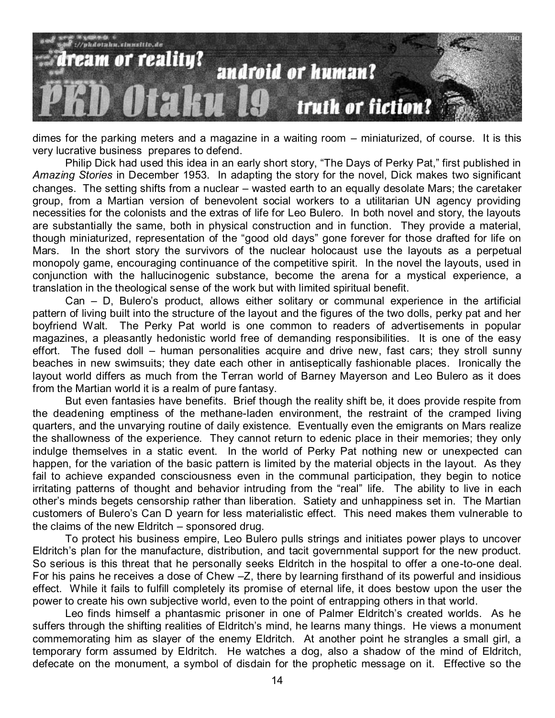

dimes for the parking meters and a magazine in a waiting room – miniaturized, of course. It is this very lucrative business prepares to defend.

Philip Dick had used this idea in an early short story, "The Days of Perky Pat," first published in *Amazing Stories* in December 1953. In adapting the story for the novel, Dick makes two significant changes. The setting shifts from a nuclear – wasted earth to an equally desolate Mars; the caretaker group, from a Martian version of benevolent social workers to a utilitarian UN agency providing necessities for the colonists and the extras of life for Leo Bulero. In both novel and story, the layouts are substantially the same, both in physical construction and in function. They provide a material, though miniaturized, representation of the "good old days" gone forever for those drafted for life on Mars. In the short story the survivors of the nuclear holocaust use the layouts as a perpetual monopoly game, encouraging continuance of the competitive spirit. In the novel the layouts, used in conjunction with the hallucinogenic substance, become the arena for a mystical experience, a translation in the theological sense of the work but with limited spiritual benefit.

Can – D, Bulero's product, allows either solitary or communal experience in the artificial pattern of living built into the structure of the layout and the figures of the two dolls, perky pat and her boyfriend Walt. The Perky Pat world is one common to readers of advertisements in popular magazines, a pleasantly hedonistic world free of demanding responsibilities. It is one of the easy effort. The fused doll – human personalities acquire and drive new, fast cars; they stroll sunny beaches in new swimsuits; they date each other in antiseptically fashionable places. Ironically the layout world differs as much from the Terran world of Barney Mayerson and Leo Bulero as it does from the Martian world it is a realm of pure fantasy.

But even fantasies have benefits. Brief though the reality shift be, it does provide respite from the deadening emptiness of the methane-laden environment, the restraint of the cramped living quarters, and the unvarying routine of daily existence. Eventually even the emigrants on Mars realize the shallowness of the experience. They cannot return to edenic place in their memories; they only indulge themselves in a static event. In the world of Perky Pat nothing new or unexpected can happen, for the variation of the basic pattern is limited by the material objects in the layout. As they fail to achieve expanded consciousness even in the communal participation, they begin to notice irritating patterns of thought and behavior intruding from the "real" life. The ability to live in each other's minds begets censorship rather than liberation. Satiety and unhappiness set in. The Martian customers of Bulero's Can D yearn for less materialistic effect. This need makes them vulnerable to the claims of the new Eldritch – sponsored drug.

To protect his business empire, Leo Bulero pulls strings and initiates power plays to uncover Eldritch's plan for the manufacture, distribution, and tacit governmental support for the new product. So serious is this threat that he personally seeks Eldritch in the hospital to offer a one-to-one deal. For his pains he receives a dose of Chew –Z, there by learning firsthand of its powerful and insidious effect. While it fails to fulfill completely its promise of eternal life, it does bestow upon the user the power to create his own subjective world, even to the point of entrapping others in that world.

Leo finds himself a phantasmic prisoner in one of Palmer Eldritch's created worlds. As he suffers through the shifting realities of Eldritch's mind, he learns many things. He views a monument commemorating him as slayer of the enemy Eldritch. At another point he strangles a small girl, a temporary form assumed by Eldritch. He watches a dog, also a shadow of the mind of Eldritch, defecate on the monument, a symbol of disdain for the prophetic message on it. Effective so the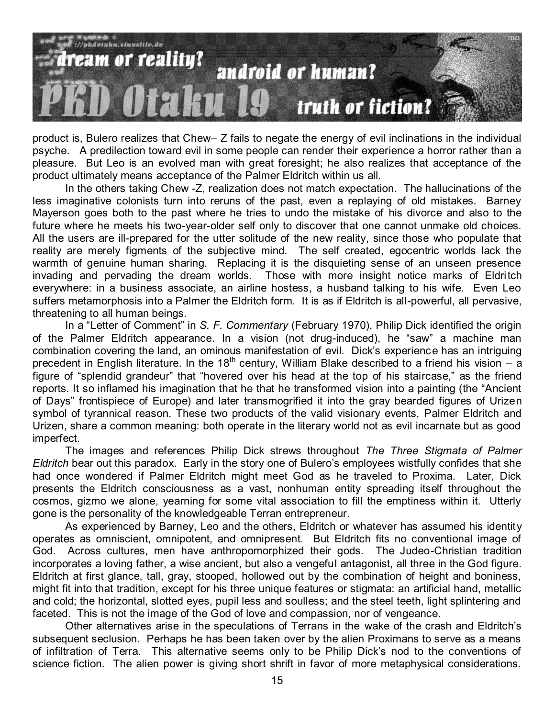

product is, Bulero realizes that Chew– Z fails to negate the energy of evil inclinations in the individual psyche. A predilection toward evil in some people can render their experience a horror rather than a pleasure. But Leo is an evolved man with great foresight; he also realizes that acceptance of the product ultimately means acceptance of the Palmer Eldritch within us all.

In the others taking Chew -Z, realization does not match expectation. The hallucinations of the less imaginative colonists turn into reruns of the past, even a replaying of old mistakes. Barney Mayerson goes both to the past where he tries to undo the mistake of his divorce and also to the future where he meets his two-year-older self only to discover that one cannot unmake old choices. All the users are ill-prepared for the utter solitude of the new reality, since those who populate that reality are merely figments of the subjective mind. The self created, egocentric worlds lack the warmth of genuine human sharing. Replacing it is the disquieting sense of an unseen presence invading and pervading the dream worlds. Those with more insight notice marks of Eldritch everywhere: in a business associate, an airline hostess, a husband talking to his wife. Even Leo suffers metamorphosis into a Palmer the Eldritch form. It is as if Eldritch is all-powerful, all pervasive, threatening to all human beings.

In a "Letter of Comment" in *S. F. Commentary* (February 1970), Philip Dick identified the origin of the Palmer Eldritch appearance. In a vision (not drug-induced), he "saw" a machine man combination covering the land, an ominous manifestation of evil. Dick's experience has an intriguing precedent in English literature. In the 18<sup>th</sup> century, William Blake described to a friend his vision  $- a$ figure of "splendid grandeur" that "hovered over his head at the top of his staircase," as the friend reports. It so inflamed his imagination that he that he transformed vision into a painting (the "Ancient") of Days" frontispiece of Europe) and later transmogrified it into the gray bearded figures of Urizen symbol of tyrannical reason. These two products of the valid visionary events, Palmer Eldritch and Urizen, share a common meaning: both operate in the literary world not as evil incarnate but as good imperfect.

The images and references Philip Dick strews throughout *The Three Stigmata of Palmer Eldritch* bear out this paradox. Early in the story one of Bulero's employees wistfully confides that she had once wondered if Palmer Eldritch might meet God as he traveled to Proxima. Later, Dick presents the Eldritch consciousness as a vast, nonhuman entity spreading itself throughout the cosmos, gizmo we alone, yearning for some vital association to fill the emptiness within it. Utterly gone is the personality of the knowledgeable Terran entrepreneur.

As experienced by Barney, Leo and the others, Eldritch or whatever has assumed his identity operates as omniscient, omnipotent, and omnipresent. But Eldritch fits no conventional image of God. Across cultures, men have anthropomorphized their gods. The Judeo-Christian tradition incorporates a loving father, a wise ancient, but also a vengeful antagonist, all three in the God figure. Eldritch at first glance, tall, gray, stooped, hollowed out by the combination of height and boniness, might fit into that tradition, except for his three unique features or stigmata: an artificial hand, metallic and cold; the horizontal, slotted eyes, pupil less and soulless; and the steel teeth, light splintering and faceted. This is not the image of the God of love and compassion, nor of vengeance.

Other alternatives arise in the speculations of Terrans in the wake of the crash and Eldritch's subsequent seclusion. Perhaps he has been taken over by the alien Proximans to serve as a means of infiltration of Terra. This alternative seems only to be Philip Dick's nod to the conventions of science fiction. The alien power is giving short shrift in favor of more metaphysical considerations.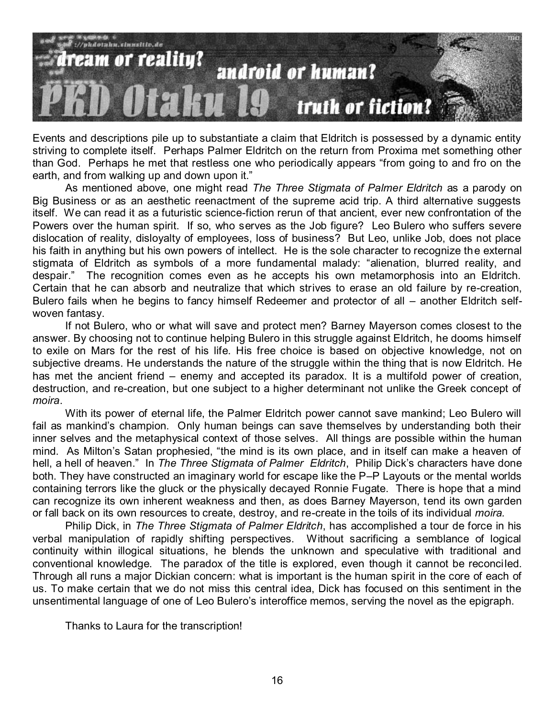

Events and descriptions pile up to substantiate a claim that Eldritch is possessed by a dynamic entity striving to complete itself. Perhaps Palmer Eldritch on the return from Proxima met something other than God. Perhaps he met that restless one who periodically appears "from going to and fro on the earth, and from walking up and down upon it."

As mentioned above, one might read *The Three Stigmata of Palmer Eldritch* as a parody on Big Business or as an aesthetic reenactment of the supreme acid trip. A third alternative suggests itself. We can read it as a futuristic science-fiction rerun of that ancient, ever new confrontation of the Powers over the human spirit. If so, who serves as the Job figure? Leo Bulero who suffers severe dislocation of reality, disloyalty of employees, loss of business? But Leo, unlike Job, does not place his faith in anything but his own powers of intellect. He is the sole character to recognize the external stigmata of Eldritch as symbols of a more fundamental malady: "alienation, blurred reality, and despair.‖ The recognition comes even as he accepts his own metamorphosis into an Eldritch. Certain that he can absorb and neutralize that which strives to erase an old failure by re-creation, Bulero fails when he begins to fancy himself Redeemer and protector of all – another Eldritch selfwoven fantasy.

If not Bulero, who or what will save and protect men? Barney Mayerson comes closest to the answer. By choosing not to continue helping Bulero in this struggle against Eldritch, he dooms himself to exile on Mars for the rest of his life. His free choice is based on objective knowledge, not on subjective dreams. He understands the nature of the struggle within the thing that is now Eldritch. He has met the ancient friend – enemy and accepted its paradox. It is a multifold power of creation, destruction, and re-creation, but one subject to a higher determinant not unlike the Greek concept of *moira*.

With its power of eternal life, the Palmer Eldritch power cannot save mankind; Leo Bulero will fail as mankind's champion. Only human beings can save themselves by understanding both their inner selves and the metaphysical context of those selves. All things are possible within the human mind. As Milton's Satan prophesied, "the mind is its own place, and in itself can make a heaven of hell, a hell of heaven." In *The Three Stigmata of Palmer Eldritch*, Philip Dick's characters have done both. They have constructed an imaginary world for escape like the P–P Layouts or the mental worlds containing terrors like the gluck or the physically decayed Ronnie Fugate. There is hope that a mind can recognize its own inherent weakness and then, as does Barney Mayerson, tend its own garden or fall back on its own resources to create, destroy, and re-create in the toils of its individual *moira.*

Philip Dick, in *The Three Stigmata of Palmer Eldritch*, has accomplished a tour de force in his verbal manipulation of rapidly shifting perspectives. Without sacrificing a semblance of logical continuity within illogical situations, he blends the unknown and speculative with traditional and conventional knowledge. The paradox of the title is explored, even though it cannot be reconciled. Through all runs a major Dickian concern: what is important is the human spirit in the core of each of us. To make certain that we do not miss this central idea, Dick has focused on this sentiment in the unsentimental language of one of Leo Bulero's interoffice memos, serving the novel as the epigraph.

Thanks to Laura for the transcription!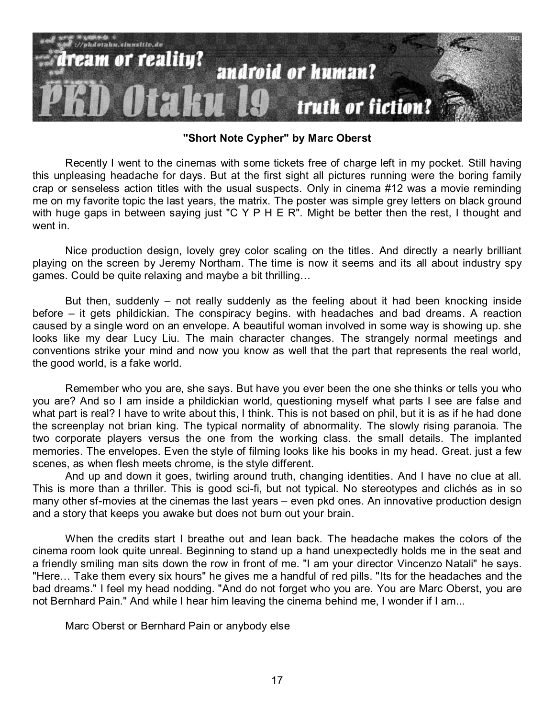

**"Short Note Cypher" by Marc Oberst**

Recently I went to the cinemas with some tickets free of charge left in my pocket. Still having this unpleasing headache for days. But at the first sight all pictures running were the boring family crap or senseless action titles with the usual suspects. Only in cinema #12 was a movie reminding me on my favorite topic the last years, the matrix. The poster was simple grey letters on black ground with huge gaps in between saying just "C Y P H E R". Might be better then the rest, I thought and went in.

Nice production design, lovely grey color scaling on the titles. And directly a nearly brilliant playing on the screen by Jeremy Northam. The time is now it seems and its all about industry spy games. Could be quite relaxing and maybe a bit thrilling…

But then, suddenly – not really suddenly as the feeling about it had been knocking inside before – it gets phildickian. The conspiracy begins. with headaches and bad dreams. A reaction caused by a single word on an envelope. A beautiful woman involved in some way is showing up. she looks like my dear Lucy Liu. The main character changes. The strangely normal meetings and conventions strike your mind and now you know as well that the part that represents the real world, the good world, is a fake world.

Remember who you are, she says. But have you ever been the one she thinks or tells you who you are? And so I am inside a phildickian world, questioning myself what parts I see are false and what part is real? I have to write about this, I think. This is not based on phil, but it is as if he had done the screenplay not brian king. The typical normality of abnormality. The slowly rising paranoia. The two corporate players versus the one from the working class. the small details. The implanted memories. The envelopes. Even the style of filming looks like his books in my head. Great. just a few scenes, as when flesh meets chrome, is the style different.

And up and down it goes, twirling around truth, changing identities. And I have no clue at all. This is more than a thriller. This is good sci-fi, but not typical. No stereotypes and clichés as in so many other sf-movies at the cinemas the last years – even pkd ones. An innovative production design and a story that keeps you awake but does not burn out your brain.

When the credits start I breathe out and lean back. The headache makes the colors of the cinema room look quite unreal. Beginning to stand up a hand unexpectedly holds me in the seat and a friendly smiling man sits down the row in front of me. "I am your director Vincenzo Natali" he says. "Here… Take them every six hours" he gives me a handful of red pills. "Its for the headaches and the bad dreams." I feel my head nodding. "And do not forget who you are. You are Marc Oberst, you are not Bernhard Pain." And while I hear him leaving the cinema behind me, I wonder if I am...

Marc Oberst or Bernhard Pain or anybody else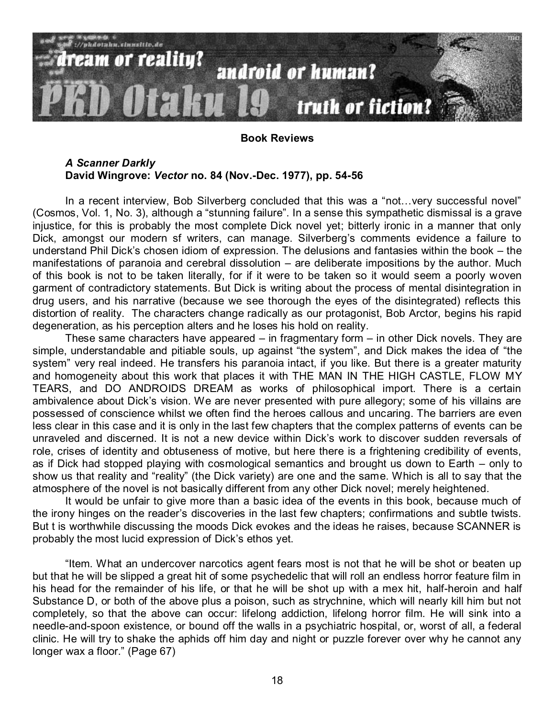

#### **Book Reviews**

#### *A Scanner Darkly* **David Wingrove:** *Vector* **no. 84 (Nov.-Dec. 1977), pp. 54-56**

In a recent interview, Bob Silverberg concluded that this was a "not... very successful novel" (Cosmos, Vol. 1, No. 3), although a "stunning failure". In a sense this sympathetic dismissal is a grave injustice, for this is probably the most complete Dick novel yet; bitterly ironic in a manner that only Dick, amongst our modern sf writers, can manage. Silverberg's comments evidence a failure to understand Phil Dick's chosen idiom of expression. The delusions and fantasies within the book – the manifestations of paranoia and cerebral dissolution – are deliberate impositions by the author. Much of this book is not to be taken literally, for if it were to be taken so it would seem a poorly woven garment of contradictory statements. But Dick is writing about the process of mental disintegration in drug users, and his narrative (because we see thorough the eyes of the disintegrated) reflects this distortion of reality. The characters change radically as our protagonist, Bob Arctor, begins his rapid degeneration, as his perception alters and he loses his hold on reality.

These same characters have appeared – in fragmentary form – in other Dick novels. They are simple, understandable and pitiable souls, up against "the system", and Dick makes the idea of "the system" very real indeed. He transfers his paranoia intact, if you like. But there is a greater maturity and homogeneity about this work that places it with THE MAN IN THE HIGH CASTLE, FLOW MY TEARS, and DO ANDROIDS DREAM as works of philosophical import. There is a certain ambivalence about Dick's vision. We are never presented with pure allegory; some of his villains are possessed of conscience whilst we often find the heroes callous and uncaring. The barriers are even less clear in this case and it is only in the last few chapters that the complex patterns of events can be unraveled and discerned. It is not a new device within Dick's work to discover sudden reversals of role, crises of identity and obtuseness of motive, but here there is a frightening credibility of events, as if Dick had stopped playing with cosmological semantics and brought us down to Earth – only to show us that reality and "reality" (the Dick variety) are one and the same. Which is all to say that the atmosphere of the novel is not basically different from any other Dick novel; merely heightened.

It would be unfair to give more than a basic idea of the events in this book, because much of the irony hinges on the reader's discoveries in the last few chapters; confirmations and subtle twists. But t is worthwhile discussing the moods Dick evokes and the ideas he raises, because SCANNER is probably the most lucid expression of Dick's ethos yet.

"Item. What an undercover narcotics agent fears most is not that he will be shot or beaten up but that he will be slipped a great hit of some psychedelic that will roll an endless horror feature film in his head for the remainder of his life, or that he will be shot up with a mex hit, half-heroin and half Substance D, or both of the above plus a poison, such as strychnine, which will nearly kill him but not completely, so that the above can occur: lifelong addiction, lifelong horror film. He will sink into a needle-and-spoon existence, or bound off the walls in a psychiatric hospital, or, worst of all, a federal clinic. He will try to shake the aphids off him day and night or puzzle forever over why he cannot any longer wax a floor." (Page 67)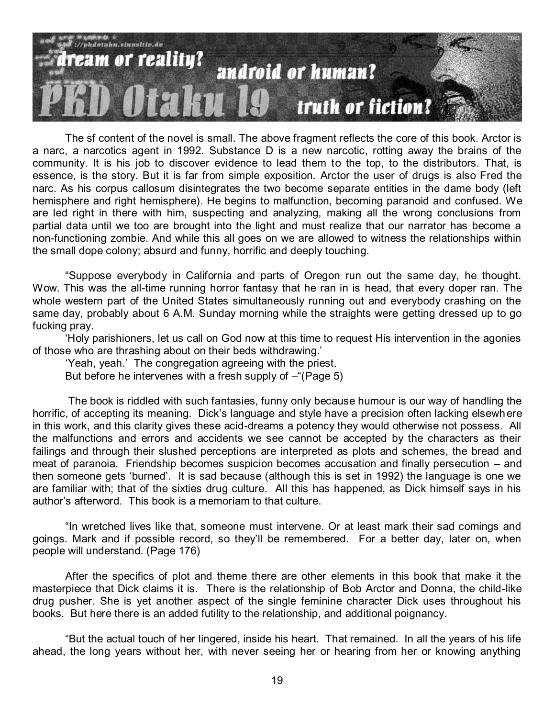

The sf content of the novel is small. The above fragment reflects the core of this book. Arctor is a narc, a narcotics agent in 1992. Substance D is a new narcotic, rotting away the brains of the community. It is his job to discover evidence to lead them to the top, to the distributors. That, is essence, is the story. But it is far from simple exposition. Arctor the user of drugs is also Fred the narc. As his corpus callosum disintegrates the two become separate entities in the dame body (left hemisphere and right hemisphere). He begins to malfunction, becoming paranoid and confused. We are led right in there with him, suspecting and analyzing, making all the wrong conclusions from partial data until we too are brought into the light and must realize that our narrator has become a non-functioning zombie. And while this all goes on we are allowed to witness the relationships within the small dope colony; absurd and funny, horrific and deeply touching.

―Suppose everybody in California and parts of Oregon run out the same day, he thought. Wow. This was the all-time running horror fantasy that he ran in is head, that every doper ran. The whole western part of the United States simultaneously running out and everybody crashing on the same day, probably about 6 A.M. Sunday morning while the straights were getting dressed up to go fucking pray.

‗Holy parishioners, let us call on God now at this time to request His intervention in the agonies of those who are thrashing about on their beds withdrawing.'

‗Yeah, yeah.' The congregation agreeing with the priest.

But before he intervenes with a fresh supply of  $-$ "(Page 5)

The book is riddled with such fantasies, funny only because humour is our way of handling the horrific, of accepting its meaning. Dick's language and style have a precision often lacking elsewhere in this work, and this clarity gives these acid-dreams a potency they would otherwise not possess. All the malfunctions and errors and accidents we see cannot be accepted by the characters as their failings and through their slushed perceptions are interpreted as plots and schemes, the bread and meat of paranoia. Friendship becomes suspicion becomes accusation and finally persecution – and then someone gets 'burned'. It is sad because (although this is set in 1992) the language is one we are familiar with; that of the sixties drug culture. All this has happened, as Dick himself says in his author's afterword. This book is a memoriam to that culture.

"In wretched lives like that, someone must intervene. Or at least mark their sad comings and goings. Mark and if possible record, so they'll be remembered. For a better day, later on, when people will understand. (Page 176)

After the specifics of plot and theme there are other elements in this book that make it the masterpiece that Dick claims it is. There is the relationship of Bob Arctor and Donna, the child-like drug pusher. She is yet another aspect of the single feminine character Dick uses throughout his books. But here there is an added futility to the relationship, and additional poignancy.

―But the actual touch of her lingered, inside his heart. That remained. In all the years of his life ahead, the long years without her, with never seeing her or hearing from her or knowing anything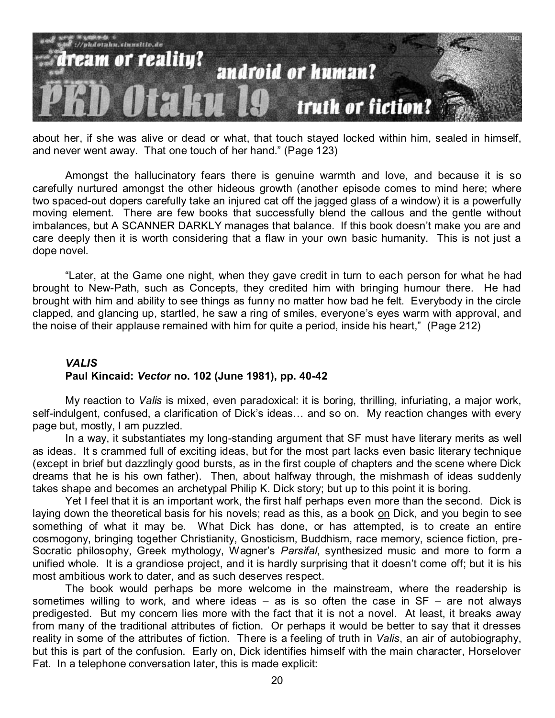

about her, if she was alive or dead or what, that touch stayed locked within him, sealed in himself, and never went away. That one touch of her hand." (Page 123)

Amongst the hallucinatory fears there is genuine warmth and love, and because it is so carefully nurtured amongst the other hideous growth (another episode comes to mind here; where two spaced-out dopers carefully take an injured cat off the jagged glass of a window) it is a powerfully moving element. There are few books that successfully blend the callous and the gentle without imbalances, but A SCANNER DARKLY manages that balance. If this book doesn't make you are and care deeply then it is worth considering that a flaw in your own basic humanity. This is not just a dope novel.

―Later, at the Game one night, when they gave credit in turn to each person for what he had brought to New-Path, such as Concepts, they credited him with bringing humour there. He had brought with him and ability to see things as funny no matter how bad he felt. Everybody in the circle clapped, and glancing up, startled, he saw a ring of smiles, everyone's eyes warm with approval, and the noise of their applause remained with him for quite a period, inside his heart," (Page 212)

# *VALIS* **Paul Kincaid:** *Vector* **no. 102 (June 1981), pp. 40-42**

My reaction to *Valis* is mixed, even paradoxical: it is boring, thrilling, infuriating, a major work, self-indulgent, confused, a clarification of Dick's ideas… and so on. My reaction changes with every page but, mostly, I am puzzled.

In a way, it substantiates my long-standing argument that SF must have literary merits as well as ideas. It s crammed full of exciting ideas, but for the most part lacks even basic literary technique (except in brief but dazzlingly good bursts, as in the first couple of chapters and the scene where Dick dreams that he is his own father). Then, about halfway through, the mishmash of ideas suddenly takes shape and becomes an archetypal Philip K. Dick story; but up to this point it is boring.

Yet I feel that it is an important work, the first half perhaps even more than the second. Dick is laying down the theoretical basis for his novels; read as this, as a book on Dick, and you begin to see something of what it may be. What Dick has done, or has attempted, is to create an entire cosmogony, bringing together Christianity, Gnosticism, Buddhism, race memory, science fiction, pre-Socratic philosophy, Greek mythology, Wagner's *Parsifal*, synthesized music and more to form a unified whole. It is a grandiose project, and it is hardly surprising that it doesn't come off; but it is his most ambitious work to dater, and as such deserves respect.

The book would perhaps be more welcome in the mainstream, where the readership is sometimes willing to work, and where ideas  $-$  as is so often the case in SF  $-$  are not always predigested. But my concern lies more with the fact that it is not a novel. At least, it breaks away from many of the traditional attributes of fiction. Or perhaps it would be better to say that it dresses reality in some of the attributes of fiction. There is a feeling of truth in *Valis*, an air of autobiography, but this is part of the confusion. Early on, Dick identifies himself with the main character, Horselover Fat. In a telephone conversation later, this is made explicit: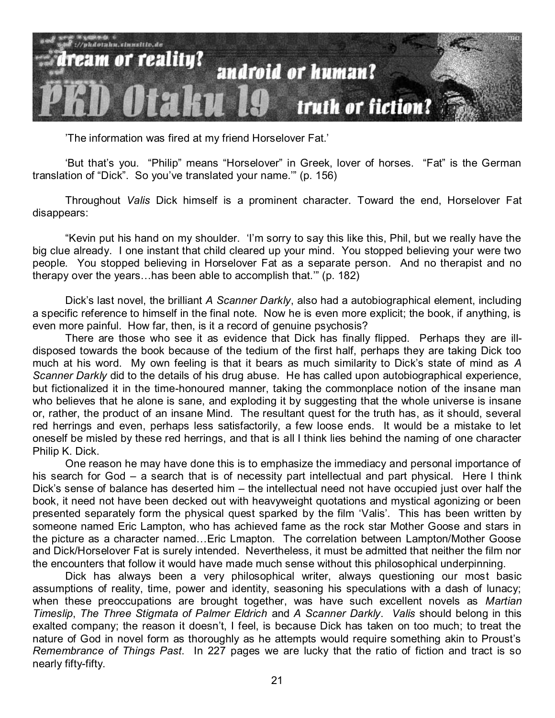

'The information was fired at my friend Horselover Fat.'

'But that's you. "Philip" means "Horselover" in Greek, lover of horses. "Fat" is the German translation of "Dick". So you've translated your name." (p. 156)

Throughout *Valis* Dick himself is a prominent character. Toward the end, Horselover Fat disappears:

"Kevin put his hand on my shoulder. 'I'm sorry to say this like this, Phil, but we really have the big clue already. I one instant that child cleared up your mind. You stopped believing your were two people. You stopped believing in Horselover Fat as a separate person. And no therapist and no therapy over the years...has been able to accomplish that." (p. 182)

Dick's last novel, the brilliant *A Scanner Darkly*, also had a autobiographical element, including a specific reference to himself in the final note. Now he is even more explicit; the book, if anything, is even more painful. How far, then, is it a record of genuine psychosis?

There are those who see it as evidence that Dick has finally flipped. Perhaps they are illdisposed towards the book because of the tedium of the first half, perhaps they are taking Dick too much at his word. My own feeling is that it bears as much similarity to Dick's state of mind as *A Scanner Darkly* did to the details of his drug abuse. He has called upon autobiographical experience, but fictionalized it in the time-honoured manner, taking the commonplace notion of the insane man who believes that he alone is sane, and exploding it by suggesting that the whole universe is insane or, rather, the product of an insane Mind. The resultant quest for the truth has, as it should, several red herrings and even, perhaps less satisfactorily, a few loose ends. It would be a mistake to let oneself be misled by these red herrings, and that is all I think lies behind the naming of one character Philip K. Dick.

One reason he may have done this is to emphasize the immediacy and personal importance of his search for God – a search that is of necessity part intellectual and part physical. Here I think Dick's sense of balance has deserted him – the intellectual need not have occupied just over half the book, it need not have been decked out with heavyweight quotations and mystical agonizing or been presented separately form the physical quest sparked by the film 'Valis'. This has been written by someone named Eric Lampton, who has achieved fame as the rock star Mother Goose and stars in the picture as a character named…Eric Lmapton. The correlation between Lampton/Mother Goose and Dick/Horselover Fat is surely intended. Nevertheless, it must be admitted that neither the film nor the encounters that follow it would have made much sense without this philosophical underpinning.

Dick has always been a very philosophical writer, always questioning our most basic assumptions of reality, time, power and identity, seasoning his speculations with a dash of lunacy; when these preoccupations are brought together, was have such excellent novels as *Martian Timeslip*, *The Three Stigmata of Palmer Eldrich* and *A Scanner Darkly*. *Valis* should belong in this exalted company; the reason it doesn't, I feel, is because Dick has taken on too much; to treat the nature of God in novel form as thoroughly as he attempts would require something akin to Proust's *Remembrance of Things Past*. In 227 pages we are lucky that the ratio of fiction and tract is so nearly fifty-fifty.